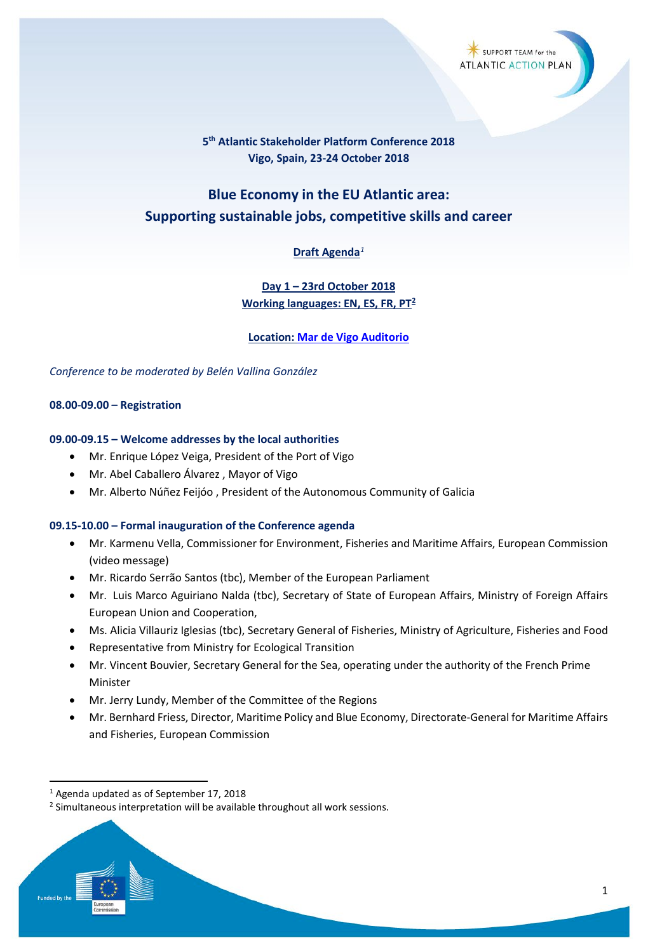# **5th Atlantic Stakeholder Platform Conference 2018 Vigo, Spain, 23-24 October 2018**

# **Blue Economy in the EU Atlantic area: Supporting sustainable jobs, competitive skills and career**

# **Draft Agenda***[1](#page-0-0)*

# **Day 1 – 23rd October 2018 Working languages: EN, ES, FR, PT[2](#page-0-1)**

**Location: [Mar de Vigo Auditorio](http://www.auditoriomardevigo.com/gl)**

*Conference to be moderated by Belén Vallina González*

# **08.00-09.00 – Registration**

# **09.00-09.15 – Welcome addresses by the local authorities**

- Mr. Enrique López Veiga, President of the Port of Vigo
- Mr. Abel Caballero Álvarez , Mayor of Vigo
- Mr. Alberto Núñez Feijóo , President of the Autonomous Community of Galicia

#### **09.15-10.00 – Formal inauguration of the Conference agenda**

- Mr. Karmenu Vella, Commissioner for Environment, Fisheries and Maritime Affairs, European Commission (video message)
- Mr. Ricardo Serrão Santos (tbc), Member of the European Parliament
- Mr. Luis Marco Aguiriano Nalda (tbc), Secretary of State of European Affairs, Ministry of Foreign Affairs European Union and Cooperation,
- Ms. Alicia Villauriz Iglesias (tbc), Secretary General of Fisheries, Ministry of Agriculture, Fisheries and Food
- Representative from Ministry for Ecological Transition
- Mr. Vincent Bouvier, Secretary General for the Sea, operating under the authority of the French Prime Minister
- Mr. Jerry Lundy, Member of the Committee of the Regions
- Mr. Bernhard Friess, Director, Maritime Policy and Blue Economy, Directorate-General for Maritime Affairs and Fisheries, European Commission

<span id="page-0-0"></span> <sup>1</sup> Agenda updated as of September 17, 2018

<span id="page-0-1"></span><sup>&</sup>lt;sup>2</sup> Simultaneous interpretation will be available throughout all work sessions.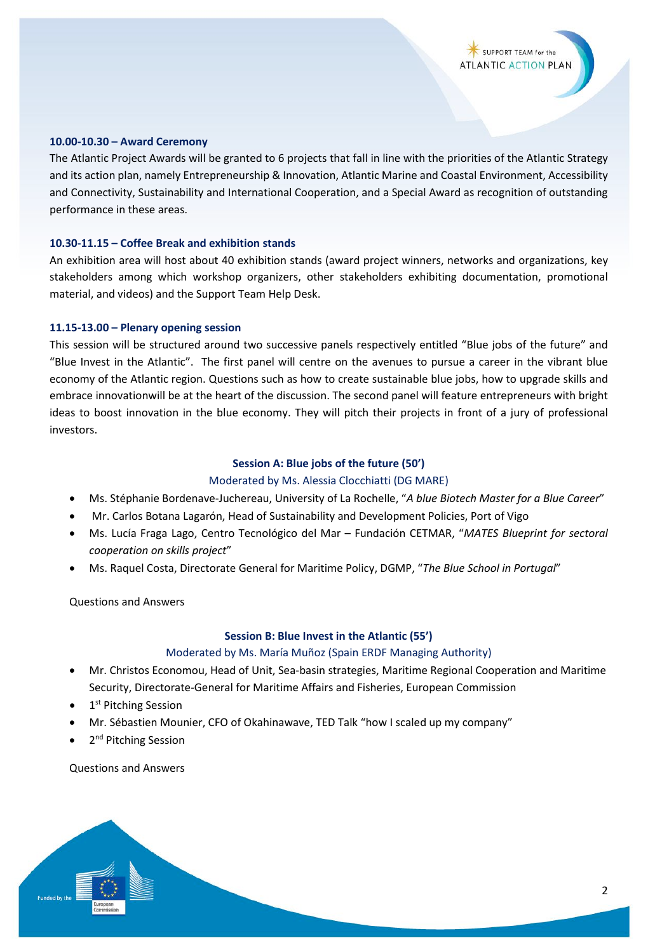#### **10.00-10.30 – Award Ceremony**

The Atlantic Project Awards will be granted to 6 projects that fall in line with the priorities of the Atlantic Strategy and its action plan, namely Entrepreneurship & Innovation, Atlantic Marine and Coastal Environment, Accessibility and Connectivity, Sustainability and International Cooperation, and a Special Award as recognition of outstanding performance in these areas.

#### **10.30-11.15 – Coffee Break and exhibition stands**

An exhibition area will host about 40 exhibition stands (award project winners, networks and organizations, key stakeholders among which workshop organizers, other stakeholders exhibiting documentation, promotional material, and videos) and the Support Team Help Desk.

#### **11.15-13.00 – Plenary opening session**

This session will be structured around two successive panels respectively entitled "Blue jobs of the future" and "Blue Invest in the Atlantic". The first panel will centre on the avenues to pursue a career in the vibrant blue economy of the Atlantic region. Questions such as how to create sustainable blue jobs, how to upgrade skills and embrace innovationwill be at the heart of the discussion. The second panel will feature entrepreneurs with bright ideas to boost innovation in the blue economy. They will pitch their projects in front of a jury of professional investors.

#### **Session A: Blue jobs of the future (50')**

#### Moderated by Ms. Alessia Clocchiatti (DG MARE)

- Ms. Stéphanie Bordenave-Juchereau, University of La Rochelle, "*A blue Biotech Master for a Blue Career*"
- Mr. Carlos Botana Lagarón, Head of Sustainability and Development Policies, Port of Vigo
- Ms. Lucía Fraga Lago, Centro Tecnológico del Mar Fundación CETMAR, "*MATES Blueprint for sectoral cooperation on skills project*"
- Ms. Raquel Costa, Directorate General for Maritime Policy, DGMP, "*The Blue School in Portugal*"

Questions and Answers

#### **Session B: Blue Invest in the Atlantic (55')**

#### Moderated by Ms. María Muñoz (Spain ERDF Managing Authority)

- Mr. Christos Economou, Head of Unit, Sea-basin strategies, Maritime Regional Cooperation and Maritime Security, Directorate-General for Maritime Affairs and Fisheries, European Commission
- 1<sup>st</sup> Pitching Session
- Mr. Sébastien Mounier, CFO of Okahinawave, TED Talk "how I scaled up my company"
- 2<sup>nd</sup> Pitching Session

Questions and Answers

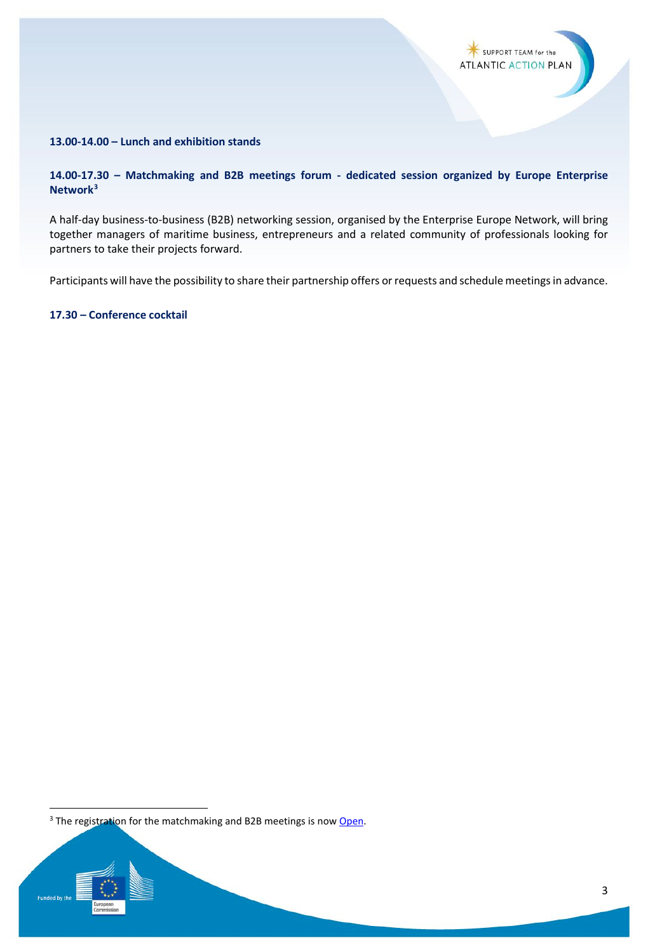

# **13.00-14.00 – Lunch and exhibition stands**

# **14.00-17.30 – Matchmaking and B2B meetings forum - dedicated session organized by Europe Enterprise Network[3](#page-2-0)**

A half-day business-to-business (B2B) networking session, organised by the Enterprise Europe Network, will bring together managers of maritime business, entrepreneurs and a related community of professionals looking for partners to take their projects forward.

Participants will have the possibility to share their partnership offers or requests and schedule meetings in advance.

**17.30 – Conference cocktail**

<span id="page-2-0"></span><sup>&</sup>lt;sup>3</sup> The registration for the matchmaking and B2B meetings is no[w Open.](https://aspc.b2match.io/)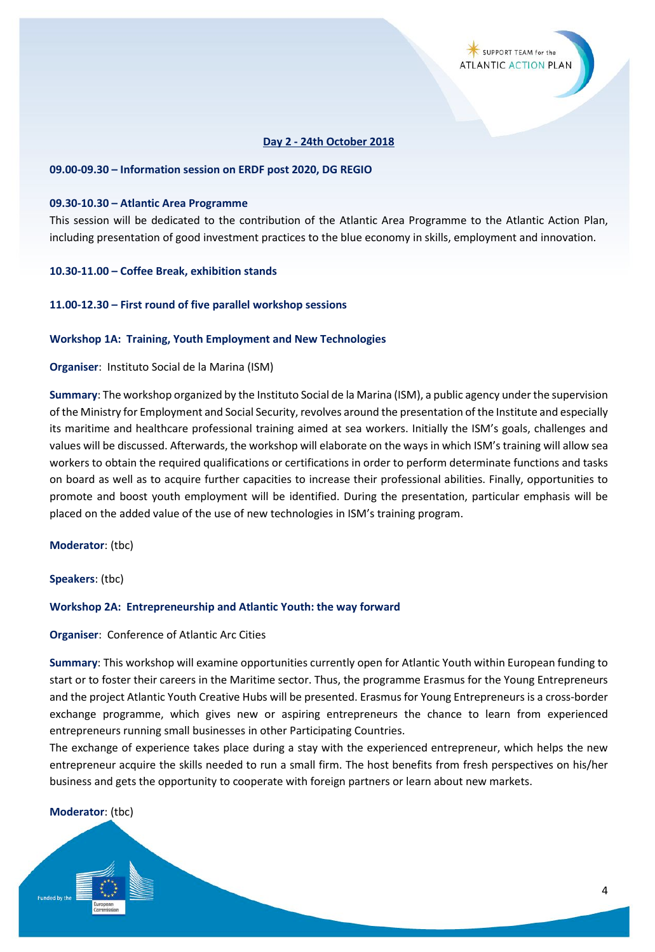### **Day 2 - 24th October 2018**

#### **09.00-09.30 – Information session on ERDF post 2020, DG REGIO**

#### **09.30-10.30 – Atlantic Area Programme**

This session will be dedicated to the contribution of the Atlantic Area Programme to the Atlantic Action Plan, including presentation of good investment practices to the blue economy in skills, employment and innovation.

#### **10.30-11.00 – Coffee Break, exhibition stands**

#### **11.00-12.30 – First round of five parallel workshop sessions**

#### **Workshop 1A: Training, Youth Employment and New Technologies**

#### **Organiser**: Instituto Social de la Marina (ISM)

**Summary**: The workshop organized by the Instituto Social de la Marina (ISM), a public agency under the supervision of the Ministry for Employment and Social Security, revolves around the presentation of the Institute and especially its maritime and healthcare professional training aimed at sea workers. Initially the ISM's goals, challenges and values will be discussed. Afterwards, the workshop will elaborate on the ways in which ISM's training will allow sea workers to obtain the required qualifications or certifications in order to perform determinate functions and tasks on board as well as to acquire further capacities to increase their professional abilities. Finally, opportunities to promote and boost youth employment will be identified. During the presentation, particular emphasis will be placed on the added value of the use of new technologies in ISM's training program.

#### **Moderator**: (tbc)

**Speakers**: (tbc)

#### **Workshop 2A: Entrepreneurship and Atlantic Youth: the way forward**

#### **Organiser**: Conference of Atlantic Arc Cities

**Summary**: This workshop will examine opportunities currently open for Atlantic Youth within European funding to start or to foster their careers in the Maritime sector. Thus, the programme Erasmus for the Young Entrepreneurs and the project Atlantic Youth Creative Hubs will be presented. Erasmus for Young Entrepreneurs is a cross-border exchange programme, which gives new or aspiring entrepreneurs the chance to learn from experienced entrepreneurs running small businesses in other Participating Countries.

The exchange of experience takes place during a stay with the experienced entrepreneur, which helps the new entrepreneur acquire the skills needed to run a small firm. The host benefits from fresh perspectives on his/her business and gets the opportunity to cooperate with foreign partners or learn about new markets.

#### **Moderator**: (tbc)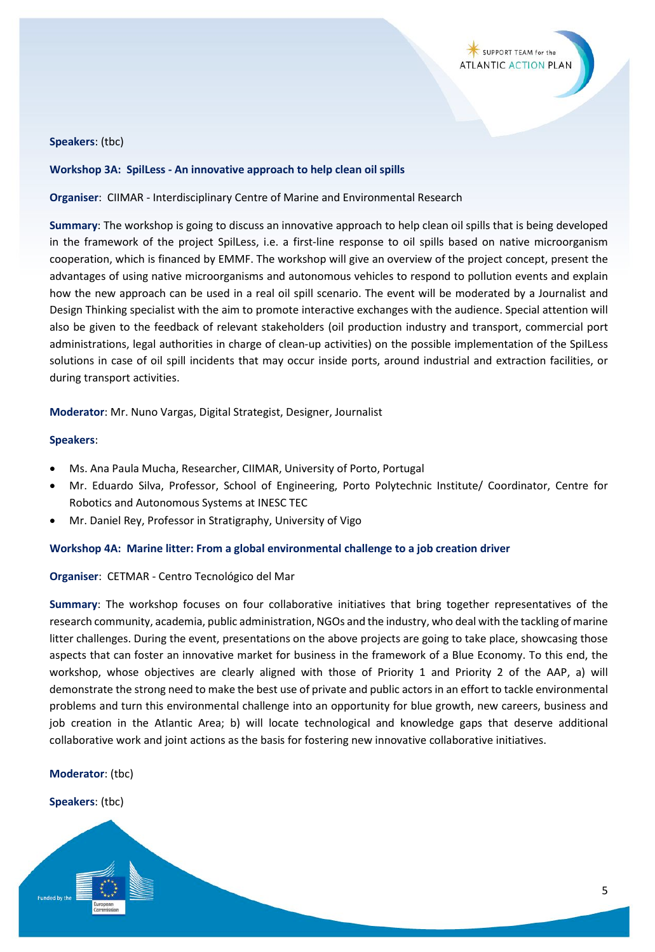

#### **Speakers**: (tbc)

#### **Workshop 3A: SpilLess - An innovative approach to help clean oil spills**

**Organiser**: CIIMAR - Interdisciplinary Centre of Marine and Environmental Research

**Summary**: The workshop is going to discuss an innovative approach to help clean oil spills that is being developed in the framework of the project SpilLess, i.e. a first-line response to oil spills based on native microorganism cooperation, which is financed by EMMF. The workshop will give an overview of the project concept, present the advantages of using native microorganisms and autonomous vehicles to respond to pollution events and explain how the new approach can be used in a real oil spill scenario. The event will be moderated by a Journalist and Design Thinking specialist with the aim to promote interactive exchanges with the audience. Special attention will also be given to the feedback of relevant stakeholders (oil production industry and transport, commercial port administrations, legal authorities in charge of clean-up activities) on the possible implementation of the SpilLess solutions in case of oil spill incidents that may occur inside ports, around industrial and extraction facilities, or during transport activities.

**Moderator**: Mr. Nuno Vargas, Digital Strategist, Designer, Journalist

#### **Speakers**:

- Ms. Ana Paula Mucha, Researcher, CIIMAR, University of Porto, Portugal
- Mr. Eduardo Silva, Professor, School of Engineering, Porto Polytechnic Institute/ Coordinator, Centre for Robotics and Autonomous Systems at INESC TEC
- Mr. Daniel Rey, Professor in Stratigraphy, University of Vigo

#### **Workshop 4A: Marine litter: From a global environmental challenge to a job creation driver**

#### **Organiser**: CETMAR - Centro Tecnológico del Mar

**Summary**: The workshop focuses on four collaborative initiatives that bring together representatives of the research community, academia, public administration, NGOs and the industry, who deal with the tackling of marine litter challenges. During the event, presentations on the above projects are going to take place, showcasing those aspects that can foster an innovative market for business in the framework of a Blue Economy. To this end, the workshop, whose objectives are clearly aligned with those of Priority 1 and Priority 2 of the AAP, a) will demonstrate the strong need to make the best use of private and public actors in an effort to tackle environmental problems and turn this environmental challenge into an opportunity for blue growth, new careers, business and job creation in the Atlantic Area; b) will locate technological and knowledge gaps that deserve additional collaborative work and joint actions as the basis for fostering new innovative collaborative initiatives.

#### **Moderator**: (tbc)

#### **Speakers**: (tbc)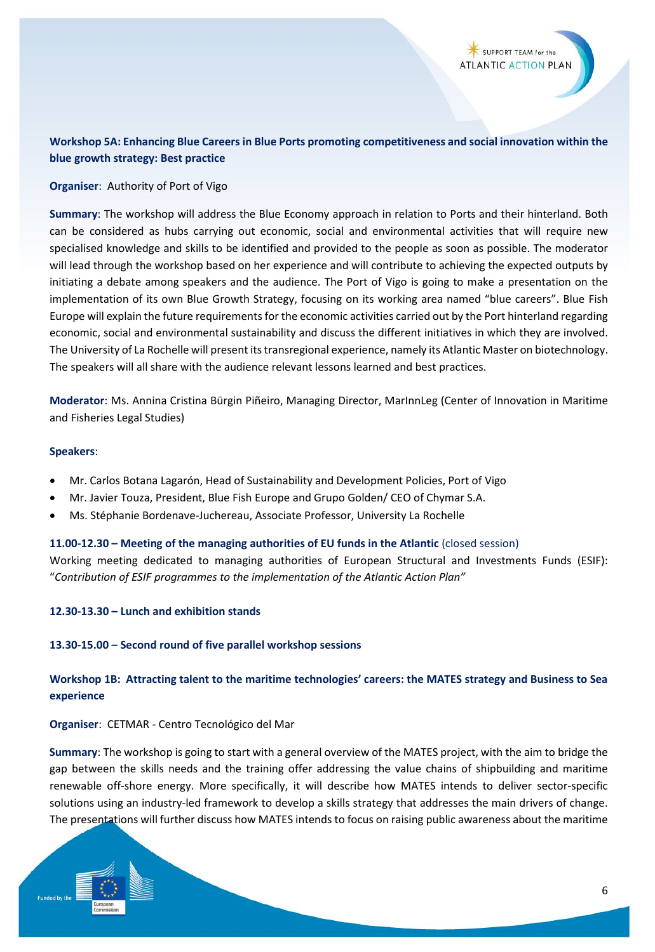# **Workshop 5A: Enhancing Blue Careers in Blue Ports promoting competitiveness and social innovation within the blue growth strategy: Best practice**

#### **Organiser**: Authority of Port of Vigo

**Summary**: The workshop will address the Blue Economy approach in relation to Ports and their hinterland. Both can be considered as hubs carrying out economic, social and environmental activities that will require new specialised knowledge and skills to be identified and provided to the people as soon as possible. The moderator will lead through the workshop based on her experience and will contribute to achieving the expected outputs by initiating a debate among speakers and the audience. The Port of Vigo is going to make a presentation on the implementation of its own Blue Growth Strategy, focusing on its working area named "blue careers". Blue Fish Europe will explain the future requirements for the economic activities carried out by the Port hinterland regarding economic, social and environmental sustainability and discuss the different initiatives in which they are involved. The University of La Rochelle will present its transregional experience, namely its Atlantic Master on biotechnology. The speakers will all share with the audience relevant lessons learned and best practices.

**Moderator**: Ms. Annina Cristina Bürgin Piñeiro, Managing Director, MarInnLeg (Center of Innovation in Maritime and Fisheries Legal Studies)

#### **Speakers**:

- Mr. Carlos Botana Lagarón, Head of Sustainability and Development Policies, Port of Vigo
- Mr. Javier Touza, President, Blue Fish Europe and Grupo Golden/ CEO of Chymar S.A.
- Ms. Stéphanie Bordenave-Juchereau, Associate Professor, University La Rochelle

#### **11.00-12.30 – Meeting of the managing authorities of EU funds in the Atlantic** (closed session)

Working meeting dedicated to managing authorities of European Structural and Investments Funds (ESIF): "*Contribution of ESIF programmes to the implementation of the Atlantic Action Plan"*

#### **12.30-13.30 – Lunch and exhibition stands**

#### **13.30-15.00 – Second round of five parallel workshop sessions**

# **Workshop 1B: Attracting talent to the maritime technologies' careers: the MATES strategy and Business to Sea experience**

#### **Organiser**: CETMAR - Centro Tecnológico del Mar

**Summary**: The workshop is going to start with a general overview of the MATES project, with the aim to bridge the gap between the skills needs and the training offer addressing the value chains of shipbuilding and maritime renewable off-shore energy. More specifically, it will describe how MATES intends to deliver sector-specific solutions using an industry-led framework to develop a skills strategy that addresses the main drivers of change. The presentations will further discuss how MATES intends to focus on raising public awareness about the maritime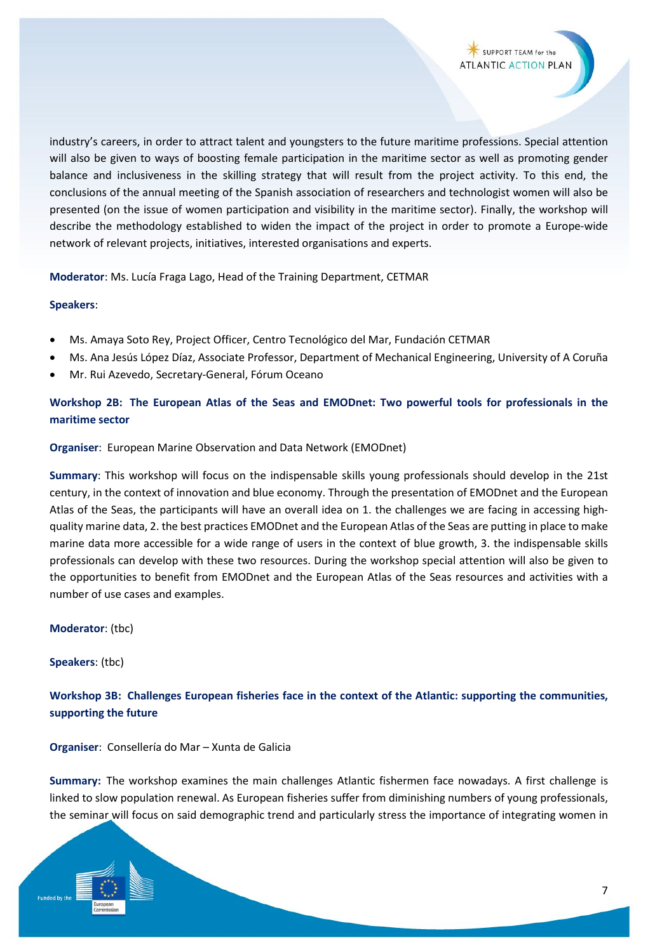industry's careers, in order to attract talent and youngsters to the future maritime professions. Special attention will also be given to ways of boosting female participation in the maritime sector as well as promoting gender balance and inclusiveness in the skilling strategy that will result from the project activity. To this end, the conclusions of the annual meeting of the Spanish association of researchers and technologist women will also be presented (on the issue of women participation and visibility in the maritime sector). Finally, the workshop will describe the methodology established to widen the impact of the project in order to promote a Europe-wide network of relevant projects, initiatives, interested organisations and experts.

**Moderator**: Ms. Lucía Fraga Lago, Head of the Training Department, CETMAR

# **Speakers**:

- Ms. Amaya Soto Rey, Project Officer, Centro Tecnológico del Mar, Fundación CETMAR
- Ms. Ana Jesús López Díaz, Associate Professor, Department of Mechanical Engineering, University of A Coruña
- Mr. Rui Azevedo, Secretary-General, Fórum Oceano

# **Workshop 2B: The European Atlas of the Seas and EMODnet: Two powerful tools for professionals in the maritime sector**

# **Organiser**: European Marine Observation and Data Network (EMODnet)

**Summary**: This workshop will focus on the indispensable skills young professionals should develop in the 21st century, in the context of innovation and blue economy. Through the presentation of EMODnet and the European Atlas of the Seas, the participants will have an overall idea on 1. the challenges we are facing in accessing highquality marine data, 2. the best practices EMODnet and the European Atlas of the Seas are putting in place to make marine data more accessible for a wide range of users in the context of blue growth, 3. the indispensable skills professionals can develop with these two resources. During the workshop special attention will also be given to the opportunities to benefit from EMODnet and the European Atlas of the Seas resources and activities with a number of use cases and examples.

# **Moderator**: (tbc)

**Speakers**: (tbc)

**Workshop 3B: Challenges European fisheries face in the context of the Atlantic: supporting the communities, supporting the future** 

**Organiser**: Consellería do Mar – Xunta de Galicia

**Summary:** The workshop examines the main challenges Atlantic fishermen face nowadays. A first challenge is linked to slow population renewal. As European fisheries suffer from diminishing numbers of young professionals, the seminar will focus on said demographic trend and particularly stress the importance of integrating women in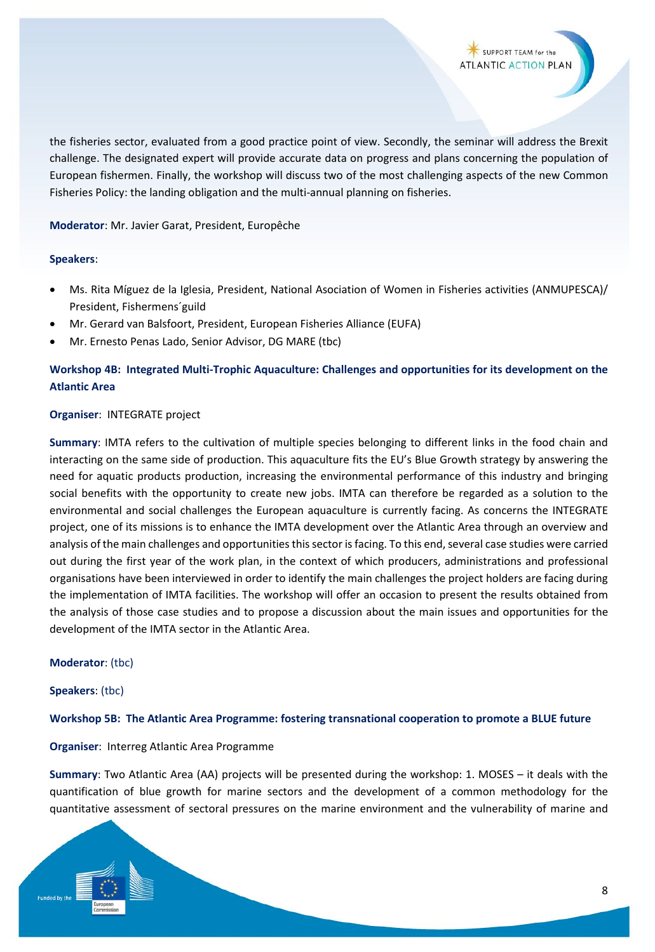the fisheries sector, evaluated from a good practice point of view. Secondly, the seminar will address the Brexit challenge. The designated expert will provide accurate data on progress and plans concerning the population of European fishermen. Finally, the workshop will discuss two of the most challenging aspects of the new Common Fisheries Policy: the landing obligation and the multi-annual planning on fisheries.

### **Moderator**: Mr. Javier Garat, President, Europêche

### **Speakers**:

- Ms. Rita Míguez de la Iglesia, President, National Asociation of Women in Fisheries activities (ANMUPESCA)/ President, Fishermens´guild
- Mr. Gerard van Balsfoort, President, European Fisheries Alliance (EUFA)
- Mr. Ernesto Penas Lado, Senior Advisor, DG MARE (tbc)

# **Workshop 4B: Integrated Multi-Trophic Aquaculture: Challenges and opportunities for its development on the Atlantic Area**

### **Organiser**: INTEGRATE project

**Summary**: IMTA refers to the cultivation of multiple species belonging to different links in the food chain and interacting on the same side of production. This aquaculture fits the EU's Blue Growth strategy by answering the need for aquatic products production, increasing the environmental performance of this industry and bringing social benefits with the opportunity to create new jobs. IMTA can therefore be regarded as a solution to the environmental and social challenges the European aquaculture is currently facing. As concerns the INTEGRATE project, one of its missions is to enhance the IMTA development over the Atlantic Area through an overview and analysis of the main challenges and opportunities this sector is facing. To this end, several case studies were carried out during the first year of the work plan, in the context of which producers, administrations and professional organisations have been interviewed in order to identify the main challenges the project holders are facing during the implementation of IMTA facilities. The workshop will offer an occasion to present the results obtained from the analysis of those case studies and to propose a discussion about the main issues and opportunities for the development of the IMTA sector in the Atlantic Area.

#### **Moderator**: (tbc)

#### **Speakers**: (tbc)

#### **Workshop 5B: The Atlantic Area Programme: fostering transnational cooperation to promote a BLUE future**

# **Organiser**: Interreg Atlantic Area Programme

**Summary**: Two Atlantic Area (AA) projects will be presented during the workshop: 1. MOSES – it deals with the quantification of blue growth for marine sectors and the development of a common methodology for the quantitative assessment of sectoral pressures on the marine environment and the vulnerability of marine and